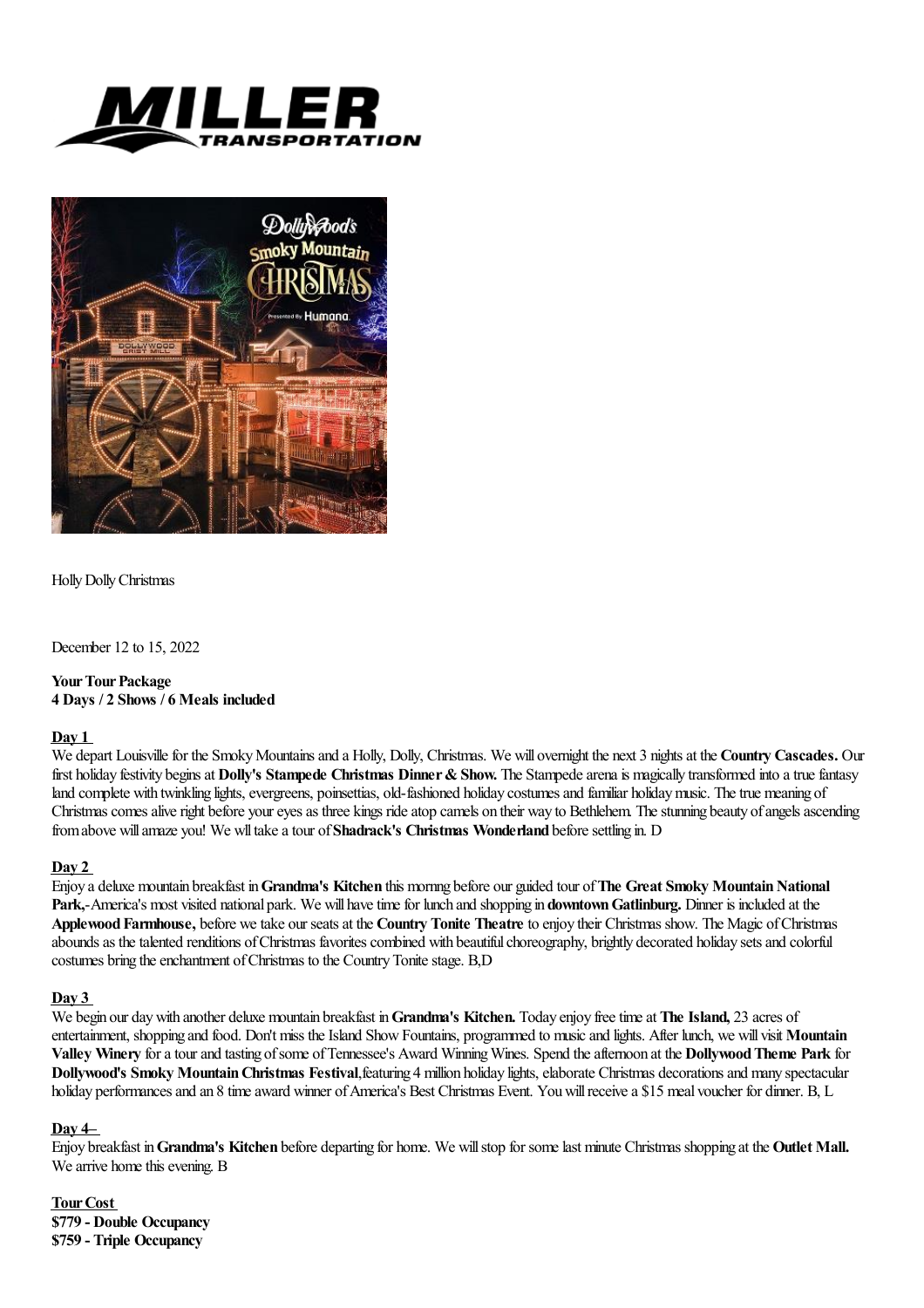



Holly Dolly Christmas

December 12 to 15, 2022

# **Your Tour Package 4 Days / 2 Shows / 6 Meals included**

## **Day 1**

We depart Louisville for the Smoky Mountains and a Holly, Dolly, Christmas. We will overnight the next 3 nights at the **Country Cascades.** Our first holiday festivity beginsat **Dolly's Stampede Christmas Dinner&Show.** The Stampedearenais magically transformed into atruefantasy land complete with twinkling lights, evergreens, poinsettias, old-fashioned holiday costumes and familiar holiday music. The true meaning of Christmas comes alive right before your eves as three kings ride atop camels on their way to Bethlehem. The stunning beauty of angels ascending from above will amaze you! We wll take a tour of **Shadrack's Christmas Wonderland** before settling in. D

## **Day 2**

Enjoy a deluxe mountain breakfast in**Grandma's Kitchen** this mornng before our guided tour of**The Great Smoky MountainNational** Park,-America's most visited national park. We will have time for lunch and shopping in **downtown Gatlinburg.** Dinner is included at the **ApplewoodFarmhouse,** before wetake our seatsat the **Country Tonite Theatre** to enjoy their Christmas show. The Magic ofChristmas abounds as the talented renditions of Christmas favorites combined with beautiful choreography, brightly decorated holiday sets and colorful costumes bring the enchantment of Christmas to the Country Tonite stage. B,D

# **Day 3**

We begin our daywith another deluxe mountain breakfast in**Grandma's Kitchen.** Today enjoy freetimeat **The Island,** 23 acres of entertainment, shopping and food. Don't miss the Island Show Fountains, programmed to music and lights. After lunch, we will visit **Mountain Valley Winery** foratourand tasting ofsome ofTennessee's Award WinningWines. Spend theafternoon at the **DollywoodTheme Park** for **Dollywood's Smoky Mountain Christmas Festival, featuring 4 million holiday lights, elaborate Christmas decorations and many spectacular** holiday performances and an 8 time award winner of America's Best Christmas Event. You will receive a \$15 meal voucher for dinner. B, L

## **Day 4–**

Enjoy breakfast in**Grandma's Kitchen** before departing for home. We willstop for somelastminute Christmas shopping at the **Outlet Mall.** We arrive home this evening. B

**Tour Cost \$779 - Double Occupancy \$759 - Triple Occupancy**